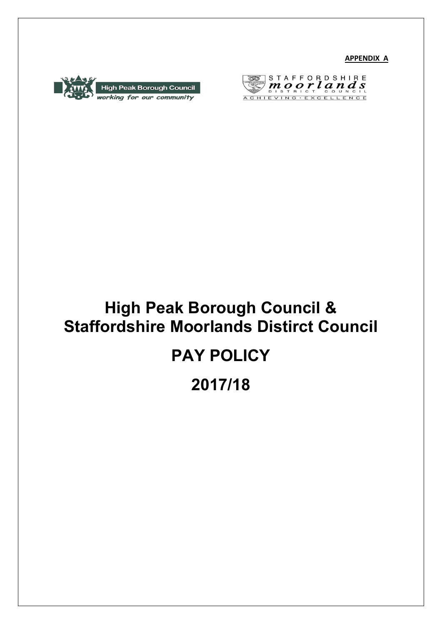**APPENDIX A**





# **High Peak Borough Council & Staffordshire Moorlands Distirct Council**

# **PAY POLICY**

# **2017/18**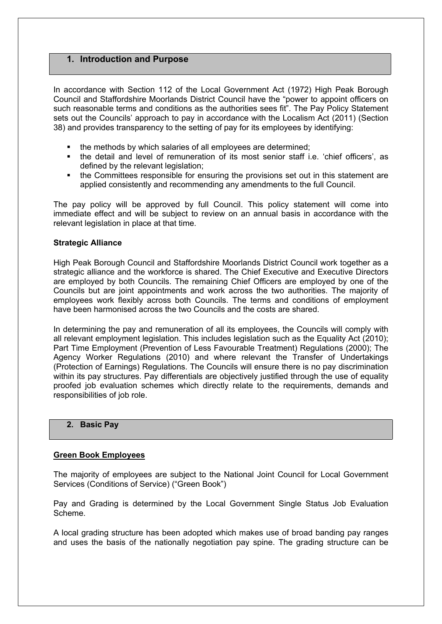# **1. Introduction and Purpose**

In accordance with Section 112 of the Local Government Act (1972) High Peak Borough Council and Staffordshire Moorlands District Council have the "power to appoint officers on such reasonable terms and conditions as the authorities sees fit". The Pay Policy Statement sets out the Councils' approach to pay in accordance with the Localism Act (2011) (Section 38) and provides transparency to the setting of pay for its employees by identifying:

- the methods by which salaries of all employees are determined;
- the detail and level of remuneration of its most senior staff i.e. 'chief officers', as defined by the relevant legislation;
- the Committees responsible for ensuring the provisions set out in this statement are applied consistently and recommending any amendments to the full Council.

The pay policy will be approved by full Council. This policy statement will come into immediate effect and will be subject to review on an annual basis in accordance with the relevant legislation in place at that time.

#### **Strategic Alliance**

High Peak Borough Council and Staffordshire Moorlands District Council work together as a strategic alliance and the workforce is shared. The Chief Executive and Executive Directors are employed by both Councils. The remaining Chief Officers are employed by one of the Councils but are joint appointments and work across the two authorities. The majority of employees work flexibly across both Councils. The terms and conditions of employment have been harmonised across the two Councils and the costs are shared.

In determining the pay and remuneration of all its employees, the Councils will comply with all relevant employment legislation. This includes legislation such as the Equality Act (2010); Part Time Employment (Prevention of Less Favourable Treatment) Regulations (2000); The Agency Worker Regulations (2010) and where relevant the Transfer of Undertakings (Protection of Earnings) Regulations. The Councils will ensure there is no pay discrimination within its pay structures. Pay differentials are objectively justified through the use of equality proofed job evaluation schemes which directly relate to the requirements, demands and responsibilities of job role.

#### **2. Basic Pay**

#### **Green Book Employees**

The majority of employees are subject to the National Joint Council for Local Government Services (Conditions of Service) ("Green Book")

Pay and Grading is determined by the Local Government Single Status Job Evaluation Scheme.

A local grading structure has been adopted which makes use of broad banding pay ranges and uses the basis of the nationally negotiation pay spine. The grading structure can be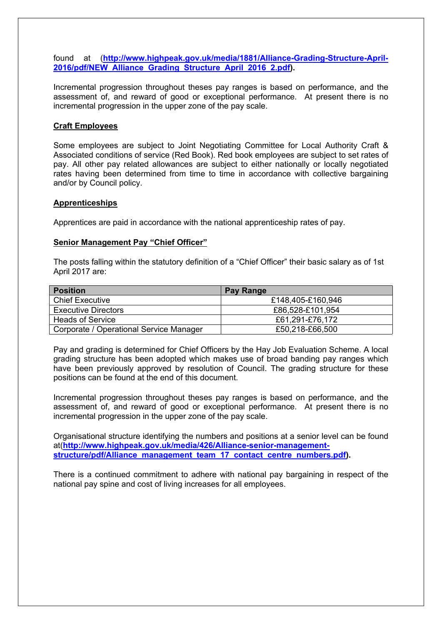found at (**[http://www.highpeak.gov.uk/media/1881/Alliance-Grading-Structure-April-](http://www.highpeak.gov.uk/media/1881/Alliance-Grading-Structure-April-2016/pdf/NEW_Alliance_Grading_Structure_April_2016_2.pdf)[2016/pdf/NEW\\_Alliance\\_Grading\\_Structure\\_April\\_2016\\_2.pdf\)](http://www.highpeak.gov.uk/media/1881/Alliance-Grading-Structure-April-2016/pdf/NEW_Alliance_Grading_Structure_April_2016_2.pdf).** 

Incremental progression throughout theses pay ranges is based on performance, and the assessment of, and reward of good or exceptional performance. At present there is no incremental progression in the upper zone of the pay scale.

#### **Craft Employees**

Some employees are subject to Joint Negotiating Committee for Local Authority Craft & Associated conditions of service (Red Book). Red book employees are subject to set rates of pay. All other pay related allowances are subject to either nationally or locally negotiated rates having been determined from time to time in accordance with collective bargaining and/or by Council policy.

#### **Apprenticeships**

Apprentices are paid in accordance with the national apprenticeship rates of pay.

#### **Senior Management Pay "Chief Officer"**

The posts falling within the statutory definition of a "Chief Officer" their basic salary as of 1st April 2017 are:

| <b>Position</b>                         | Pay Range         |
|-----------------------------------------|-------------------|
| <b>Chief Executive</b>                  | £148,405-£160,946 |
| <b>Executive Directors</b>              | £86,528-£101,954  |
| <b>Heads of Service</b>                 | £61,291-£76,172   |
| Corporate / Operational Service Manager | £50,218-£66,500   |

Pay and grading is determined for Chief Officers by the Hay Job Evaluation Scheme. A local grading structure has been adopted which makes use of broad banding pay ranges which have been previously approved by resolution of Council. The grading structure for these positions can be found at the end of this document.

Incremental progression throughout theses pay ranges is based on performance, and the assessment of, and reward of good or exceptional performance. At present there is no incremental progression in the upper zone of the pay scale.

Organisational structure identifying the numbers and positions at a senior level can be found at(**[http://www.highpeak.gov.uk/media/426/Alliance-senior-management](http://www.highpeak.gov.uk/media/426/Alliance-senior-management-structure/pdf/Alliance_management_team_17_contact_centre_numbers.pdf)[structure/pdf/Alliance\\_management\\_team\\_17\\_contact\\_centre\\_numbers.pdf](http://www.highpeak.gov.uk/media/426/Alliance-senior-management-structure/pdf/Alliance_management_team_17_contact_centre_numbers.pdf)).**

There is a continued commitment to adhere with national pay bargaining in respect of the national pay spine and cost of living increases for all employees.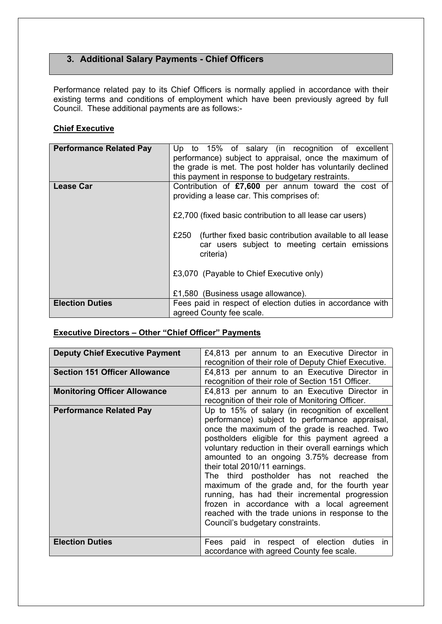# **3. Additional Salary Payments - Chief Officers**

Performance related pay to its Chief Officers is normally applied in accordance with their existing terms and conditions of employment which have been previously agreed by full Council. These additional payments are as follows:-

# **Chief Executive**

| <b>Performance Related Pay</b> | Up to 15% of salary (in recognition of excellent<br>performance) subject to appraisal, once the maximum of<br>the grade is met. The post holder has voluntarily declined<br>this payment in response to budgetary restraints. |  |  |
|--------------------------------|-------------------------------------------------------------------------------------------------------------------------------------------------------------------------------------------------------------------------------|--|--|
| <b>Lease Car</b>               | Contribution of £7,600 per annum toward the cost of<br>providing a lease car. This comprises of:<br>£2,700 (fixed basic contribution to all lease car users)                                                                  |  |  |
|                                | £250<br>(further fixed basic contribution available to all lease<br>car users subject to meeting certain emissions<br>criteria)                                                                                               |  |  |
|                                | £3,070 (Payable to Chief Executive only)                                                                                                                                                                                      |  |  |
|                                | £1,580 (Business usage allowance).                                                                                                                                                                                            |  |  |
| <b>Election Duties</b>         | Fees paid in respect of election duties in accordance with<br>agreed County fee scale.                                                                                                                                        |  |  |

# **Executive Directors – Other "Chief Officer" Payments**

| <b>Deputy Chief Executive Payment</b> | £4,813 per annum to an Executive Director in<br>recognition of their role of Deputy Chief Executive.                                                                                                                                                                                                                                                                                                                                                                                                                                                                                                                                                                                  |  |  |
|---------------------------------------|---------------------------------------------------------------------------------------------------------------------------------------------------------------------------------------------------------------------------------------------------------------------------------------------------------------------------------------------------------------------------------------------------------------------------------------------------------------------------------------------------------------------------------------------------------------------------------------------------------------------------------------------------------------------------------------|--|--|
| <b>Section 151 Officer Allowance</b>  | £4,813 per annum to an Executive Director in<br>recognition of their role of Section 151 Officer.                                                                                                                                                                                                                                                                                                                                                                                                                                                                                                                                                                                     |  |  |
| <b>Monitoring Officer Allowance</b>   | £4,813 per annum to an Executive Director in                                                                                                                                                                                                                                                                                                                                                                                                                                                                                                                                                                                                                                          |  |  |
| <b>Performance Related Pay</b>        | recognition of their role of Monitoring Officer.<br>Up to 15% of salary (in recognition of excellent<br>performance) subject to performance appraisal,<br>once the maximum of the grade is reached. Two<br>postholders eligible for this payment agreed a<br>voluntary reduction in their overall earnings which<br>amounted to an ongoing 3.75% decrease from<br>their total 2010/11 earnings.<br>The third postholder has not reached the<br>maximum of the grade and, for the fourth year<br>running, has had their incremental progression<br>frozen in accordance with a local agreement<br>reached with the trade unions in response to the<br>Council's budgetary constraints. |  |  |
| <b>Election Duties</b>                | Fees paid in respect of election duties in<br>accordance with agreed County fee scale.                                                                                                                                                                                                                                                                                                                                                                                                                                                                                                                                                                                                |  |  |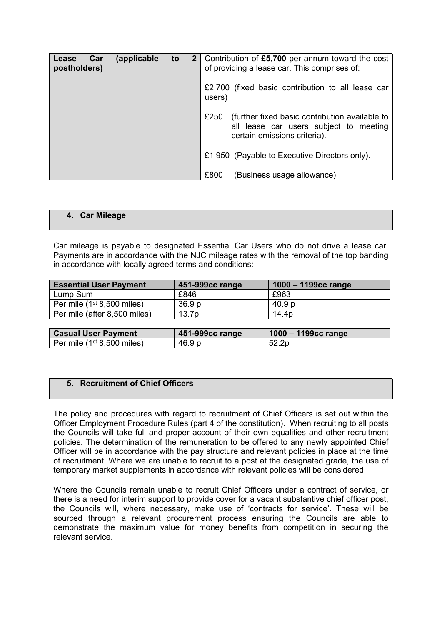| Car<br>Lease<br>postholders) | (applicable | to | 2   Contribution of £5,700 per annum toward the cost<br>of providing a lease car. This comprises of:                             |
|------------------------------|-------------|----|----------------------------------------------------------------------------------------------------------------------------------|
|                              |             |    | £2,700 (fixed basic contribution to all lease car<br>users)                                                                      |
|                              |             |    | £250<br>(further fixed basic contribution available to<br>all lease car users subject to meeting<br>certain emissions criteria). |
|                              |             |    | £1,950 (Payable to Executive Directors only).                                                                                    |
|                              |             |    | £800<br>(Business usage allowance).                                                                                              |

### **4. Car Mileage**

Car mileage is payable to designated Essential Car Users who do not drive a lease car. Payments are in accordance with the NJC mileage rates with the removal of the top banding in accordance with locally agreed terms and conditions:

| <b>Essential User Payment</b> | 451-999cc range   | $1000 - 1199cc$ range |
|-------------------------------|-------------------|-----------------------|
| Lump Sum                      | £846              | £963                  |
| Per mile $(1st 8,500$ miles)  | 36.9 <sub>p</sub> | 40.9 p                |
| Per mile (after 8,500 miles)  | 13.7 <sub>p</sub> | 14.4 <sub>p</sub>     |

| <b>Casual User Payment</b>   | $451-999cc$ range | $1000 - 1199cc$ range |
|------------------------------|-------------------|-----------------------|
| Per mile $(1st 8,500$ miles) | 46.9 p            | 52.2p                 |

#### **5. Recruitment of Chief Officers**

The policy and procedures with regard to recruitment of Chief Officers is set out within the Officer Employment Procedure Rules (part 4 of the constitution). When recruiting to all posts the Councils will take full and proper account of their own equalities and other recruitment policies. The determination of the remuneration to be offered to any newly appointed Chief Officer will be in accordance with the pay structure and relevant policies in place at the time of recruitment. Where we are unable to recruit to a post at the designated grade, the use of temporary market supplements in accordance with relevant policies will be considered.

Where the Councils remain unable to recruit Chief Officers under a contract of service, or there is a need for interim support to provide cover for a vacant substantive chief officer post, the Councils will, where necessary, make use of 'contracts for service'. These will be sourced through a relevant procurement process ensuring the Councils are able to demonstrate the maximum value for money benefits from competition in securing the relevant service.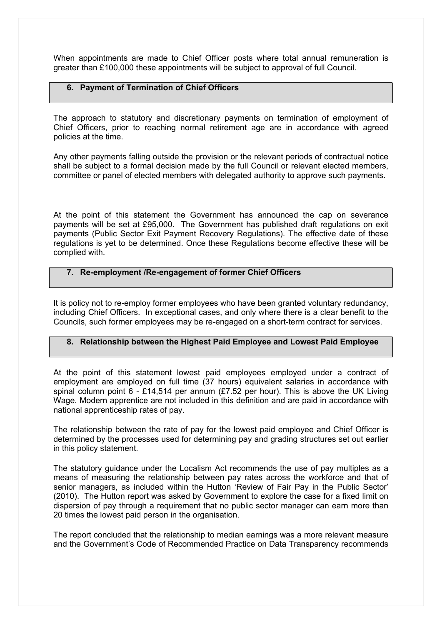When appointments are made to Chief Officer posts where total annual remuneration is greater than £100,000 these appointments will be subject to approval of full Council.

## **6. Payment of Termination of Chief Officers**

The approach to statutory and discretionary payments on termination of employment of Chief Officers, prior to reaching normal retirement age are in accordance with agreed policies at the time.

Any other payments falling outside the provision or the relevant periods of contractual notice shall be subject to a formal decision made by the full Council or relevant elected members, committee or panel of elected members with delegated authority to approve such payments.

At the point of this statement the Government has announced the cap on severance payments will be set at £95,000. The Government has published draft regulations on exit payments (Public Sector Exit Payment Recovery Regulations). The effective date of these regulations is yet to be determined. Once these Regulations become effective these will be complied with.

#### **7. Re-employment /Re-engagement of former Chief Officers**

It is policy not to re-employ former employees who have been granted voluntary redundancy, including Chief Officers. In exceptional cases, and only where there is a clear benefit to the Councils, such former employees may be re-engaged on a short-term contract for services.

## **8. Relationship between the Highest Paid Employee and Lowest Paid Employee**

At the point of this statement lowest paid employees employed under a contract of employment are employed on full time (37 hours) equivalent salaries in accordance with spinal column point  $6 - £14,514$  per annum (£7.52 per hour). This is above the UK Living Wage. Modern apprentice are not included in this definition and are paid in accordance with national apprenticeship rates of pay.

The relationship between the rate of pay for the lowest paid employee and Chief Officer is determined by the processes used for determining pay and grading structures set out earlier in this policy statement.

The statutory guidance under the Localism Act recommends the use of pay multiples as a means of measuring the relationship between pay rates across the workforce and that of senior managers, as included within the Hutton 'Review of Fair Pay in the Public Sector' (2010). The Hutton report was asked by Government to explore the case for a fixed limit on dispersion of pay through a requirement that no public sector manager can earn more than 20 times the lowest paid person in the organisation.

The report concluded that the relationship to median earnings was a more relevant measure and the Government's Code of Recommended Practice on Data Transparency recommends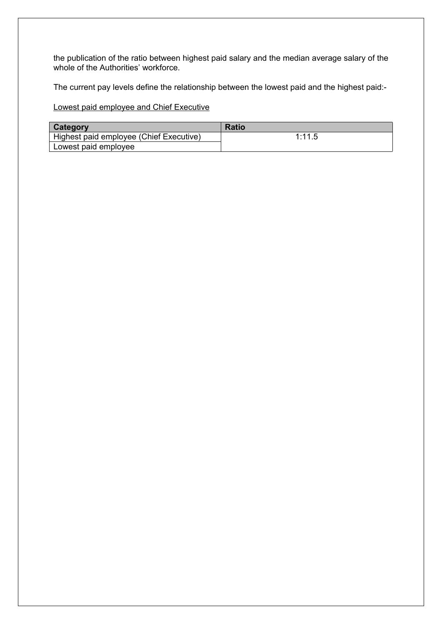the publication of the ratio between highest paid salary and the median average salary of the whole of the Authorities' workforce.

The current pay levels define the relationship between the lowest paid and the highest paid:-

Lowest paid employee and Chief Executive

| Category                                | <b>Ratio</b> |
|-----------------------------------------|--------------|
| Highest paid employee (Chief Executive) | 1:11.5       |
| Lowest paid employee                    |              |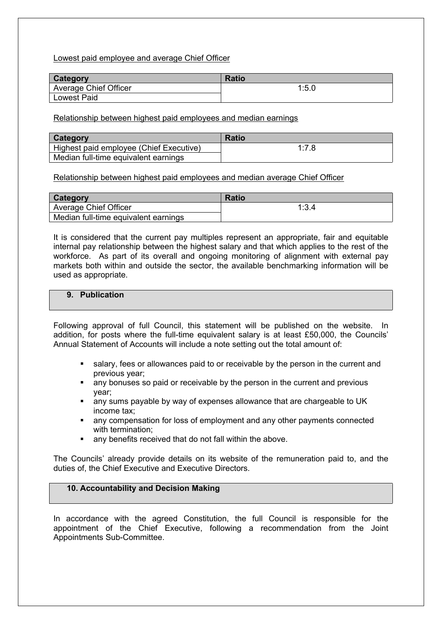Lowest paid employee and average Chief Officer

| <b>Category</b>       | <b>Ratio</b> |
|-----------------------|--------------|
| Average Chief Officer | 1:5.0        |
| <b>Lowest Paid</b>    |              |

Relationship between highest paid employees and median earnings

| Category                                | <b>Ratio</b> |
|-----------------------------------------|--------------|
| Highest paid employee (Chief Executive) | 1:7.8        |
| Median full-time equivalent earnings    |              |

Relationship between highest paid employees and median average Chief Officer

| <b>Category</b>                      | <b>Ratio</b> |
|--------------------------------------|--------------|
| Average Chief Officer                | 1:3.4        |
| Median full-time equivalent earnings |              |

It is considered that the current pay multiples represent an appropriate, fair and equitable internal pay relationship between the highest salary and that which applies to the rest of the workforce. As part of its overall and ongoing monitoring of alignment with external pay markets both within and outside the sector, the available benchmarking information will be used as appropriate.

## **9. Publication**

Following approval of full Council, this statement will be published on the website. In addition, for posts where the full-time equivalent salary is at least £50,000, the Councils' Annual Statement of Accounts will include a note setting out the total amount of:

- salary, fees or allowances paid to or receivable by the person in the current and previous year;
- any bonuses so paid or receivable by the person in the current and previous year;
- any sums payable by way of expenses allowance that are chargeable to UK income tax;
- any compensation for loss of employment and any other payments connected with termination;
- any benefits received that do not fall within the above.

The Councils' already provide details on its website of the remuneration paid to, and the duties of, the Chief Executive and Executive Directors.

## **10. Accountability and Decision Making**

In accordance with the agreed Constitution, the full Council is responsible for the appointment of the Chief Executive, following a recommendation from the Joint Appointments Sub-Committee.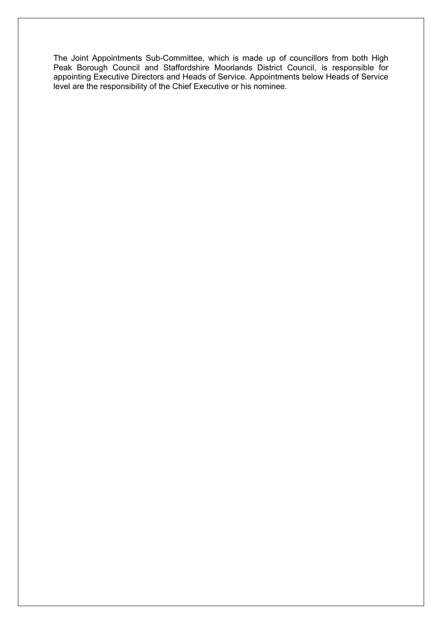The Joint Appointments Sub-Committee, which is made up of councillors from both High Peak Borough Council and Staffordshire Moorlands District Council, is responsible for appointing Executive Directors and Heads of Service. Appointments below Heads of Service level are the responsibility of the Chief Executive or his nominee.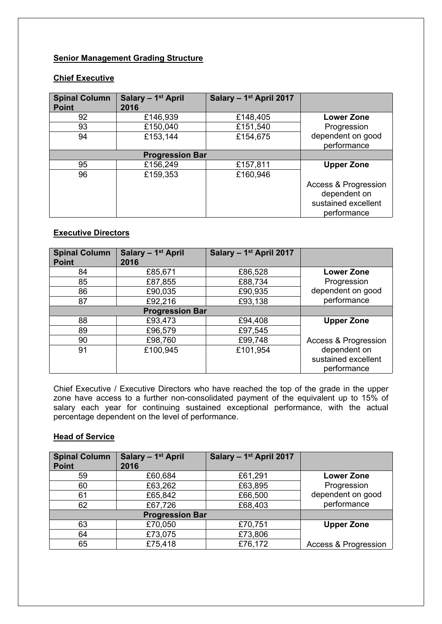## **Senior Management Grading Structure**

#### **Chief Executive**

| <b>Spinal Column</b><br><b>Point</b> | Salary - 1 <sup>st</sup> April<br>2016 | Salary - 1 <sup>st</sup> April 2017 |                                                                            |
|--------------------------------------|----------------------------------------|-------------------------------------|----------------------------------------------------------------------------|
| 92                                   | £146,939                               | £148,405                            | <b>Lower Zone</b>                                                          |
| 93                                   | £150,040                               | £151,540                            | Progression                                                                |
| 94                                   | £153,144                               | £154,675                            | dependent on good<br>performance                                           |
|                                      | <b>Progression Bar</b>                 |                                     |                                                                            |
| 95                                   | £156,249                               | £157,811                            | <b>Upper Zone</b>                                                          |
| 96                                   | £159,353                               | £160,946                            |                                                                            |
|                                      |                                        |                                     | Access & Progression<br>dependent on<br>sustained excellent<br>performance |

## **Executive Directors**

| <b>Spinal Column</b><br><b>Point</b> | Salary - 1 <sup>st</sup> April<br>2016 | Salary - 1 <sup>st</sup> April 2017 |                                    |
|--------------------------------------|----------------------------------------|-------------------------------------|------------------------------------|
| 84                                   | £85,671                                | £86,528                             | <b>Lower Zone</b>                  |
| 85                                   | £87,855                                | £88,734                             | Progression                        |
| 86                                   | £90,035                                | £90,935                             | dependent on good                  |
| 87                                   | £92,216                                | £93,138                             | performance                        |
| <b>Progression Bar</b>               |                                        |                                     |                                    |
| 88                                   | £93,473                                | £94,408                             | <b>Upper Zone</b>                  |
| 89                                   | £96,579                                | £97,545                             |                                    |
| 90                                   | £98,760                                | £99,748                             | Access & Progression               |
| 91                                   | £100,945                               | £101,954                            | dependent on                       |
|                                      |                                        |                                     | sustained excellent<br>performance |

Chief Executive / Executive Directors who have reached the top of the grade in the upper zone have access to a further non-consolidated payment of the equivalent up to 15% of salary each year for continuing sustained exceptional performance, with the actual percentage dependent on the level of performance.

#### **Head of Service**

| <b>Spinal Column</b><br><b>Point</b> | Salary - 1 <sup>st</sup> April<br>2016 | Salary - 1 <sup>st</sup> April 2017 |                                 |
|--------------------------------------|----------------------------------------|-------------------------------------|---------------------------------|
| 59                                   | £60,684                                | £61,291                             | Lower Zone                      |
| 60                                   | £63,262                                | £63,895                             | Progression                     |
| 61                                   | £65,842                                | £66,500                             | dependent on good               |
| 62                                   | £67,726                                | £68,403                             | performance                     |
|                                      |                                        |                                     |                                 |
| 63                                   | £70,050                                | £70,751                             | <b>Upper Zone</b>               |
| 64                                   | £73,075                                | £73,806                             |                                 |
| 65                                   | £75,418                                | £76,172                             | <b>Access &amp; Progression</b> |